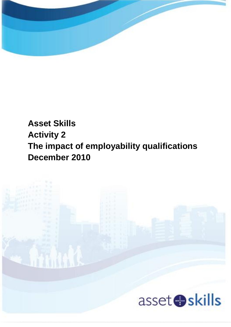

# **Asset Skills Activity 2 The impact of employability qualifications December 2010**

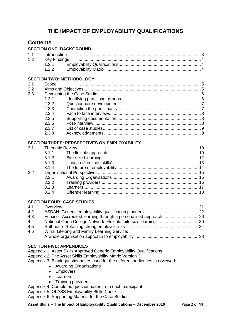## **THE IMPACT OF EMPLOYABILITY QUALIFICATIONS**

## **Contents**

#### **SECTION ONE: BACKGROUND**

| 1.1 | Introduction |  |
|-----|--------------|--|
| 1.2 |              |  |
|     |              |  |
|     |              |  |

#### **SECTION TWO: METHODOLOGY**

| 2.1 | Scope |  |
|-----|-------|--|
| 2.2 |       |  |
| 2.3 |       |  |
|     | 2.3.1 |  |
|     | 2.3.2 |  |
|     | 2.3.3 |  |
|     | 2.3.4 |  |
|     | 2.3.5 |  |
|     | 2.3.6 |  |
|     | 2.3.7 |  |
|     | 2.3.8 |  |

#### **SECTION THREE: PERSPECTIVES ON EMPLOYABILITY**

| 3.1 |       |  |
|-----|-------|--|
|     |       |  |
|     | 3.1.2 |  |
|     |       |  |
|     |       |  |
| 3.2 |       |  |
|     | 3.2.1 |  |
|     |       |  |
|     | 3.2.3 |  |
|     | 3.2.4 |  |
|     |       |  |

#### **SECTION FOUR: CASE STUDIES**

| 4.1 | Overview                                     |  |
|-----|----------------------------------------------|--|
| 4.2 |                                              |  |
| 4.3 |                                              |  |
| 4.4 |                                              |  |
| 4.5 |                                              |  |
| 4.6 | Wirral Lifelong and Family Learning Service: |  |
|     |                                              |  |
|     |                                              |  |

#### **SECTION FIVE: APPENDICES**

Appendix 1: Asset Skills Approved Generic Employability Qualifications Appendix 2: The Asset Skills Employability Matrix Version 3 Appendix 3: Blank questionnaires used for the different audiences interviewed:

- Awarding Organisations
- Employers
- Learners
- Training providers

Appendix 4: Completed questionnaires from each participant

Appendix 5: OLASS Employability Skills Checklist

Appendix 6: Supporting Material for the Case Studies

**Asset Skills – The Impact of Employability Qualifications – December 2010 Page 2 of 44**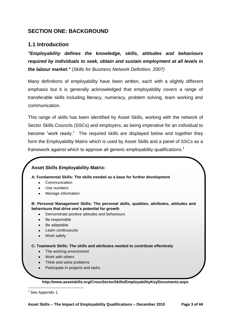## **SECTION ONE: BACKGROUND**

## **1.1 Introduction**

*"Employability defines the knowledge, skills, attitudes and behaviours required by individuals to seek, obtain and sustain employment at all levels in the labour market." (Skills for Business Network Definition, 2007)*

Many definitions of employability have been written, each with a slightly different emphasis but it is generally acknowledged that employability covers a range of transferable skills including literacy, numeracy, problem solving, team working and communication.

This range of skills has been identified by Asset Skills, working with the network of Sector Skills Councils (SSCs) and employers, as being imperative for an individual to become "work ready." The required skills are displayed below and together they form the Employability Matrix which is used by Asset Skills and a panel of SSCs as a framework against which to approve all generic employability qualifications.<sup>1</sup>

## **Asset Skills Employability Matrix:**

**A: Fundamental Skills: The skills needed as a base for further development**

- **Communication**
- Use numbers
- Manage information

**B: Personal Management Skills: The personal skills, qualities, attributes, attitudes and behaviours that drive one's potential for growth**

- Demonstrate positive attitudes and behaviours
- Be responsible
- Be adaptable
- Learn continuously
- Work safely

**C: Teamwork Skills: The skills and attributes needed to contribute effectively**

- The working environment
- Work with others
- Think and solve problems
- Participate in projects and tasks

**http://www.assetskills.org/CrossSectorSkills/EmployabilityKeyDocuments.aspx**

1 <sup>1</sup> See Appendix 1.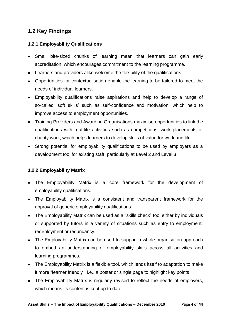## **1.2 Key Findings**

## **1.2.1 Employability Qualifications**

- Small bite-sized chunks of learning mean that learners can gain early accreditation, which encourages commitment to the learning programme.
- Learners and providers alike welcome the flexibility of the qualifications.
- Opportunities for contextualisation enable the learning to be tailored to meet the needs of individual learners.
- Employability qualifications raise aspirations and help to develop a range of so-called "soft skills" such as self-confidence and motivation, which help to improve access to employment opportunities.
- Training Providers and Awarding Organisations maximise opportunities to link the qualifications with real-life activities such as competitions, work placements or charity work, which helps learners to develop skills of value for work and life.
- Strong potential for employability qualifications to be used by employers as a development tool for existing staff, particularly at Level 2 and Level 3.

## **1.2.2 Employability Matrix**

- The Employability Matrix is a core framework for the development of employability qualifications.
- The Employability Matrix is a consistent and transparent framework for the approval of generic employability qualifications.
- The Employability Matrix can be used as a "skills check" tool either by individuals or supported by tutors in a variety of situations such as entry to employment, redeployment or redundancy.
- The Employability Matrix can be used to support a whole organisation approach to embed an understanding of employability skills across all activities and learning programmes.
- The Employability Matrix is a flexible tool, which lends itself to adaptation to make it more "learner friendly", i.e., a poster or single page to highlight key points
- The Employability Matrix is regularly revised to reflect the needs of employers, which means its content is kept up to date.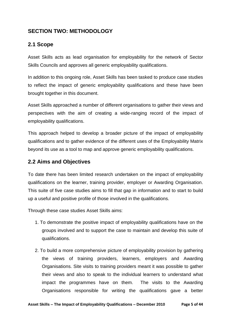## **SECTION TWO: METHODOLOGY**

## **2.1 Scope**

Asset Skills acts as lead organisation for employability for the network of Sector Skills Councils and approves all generic employability qualifications.

In addition to this ongoing role, Asset Skills has been tasked to produce case studies to reflect the impact of generic employability qualifications and these have been brought together in this document.

Asset Skills approached a number of different organisations to gather their views and perspectives with the aim of creating a wide-ranging record of the impact of employability qualifications.

This approach helped to develop a broader picture of the impact of employability qualifications and to gather evidence of the different uses of the Employability Matrix beyond its use as a tool to map and approve generic employability qualifications.

## **2.2 Aims and Objectives**

To date there has been limited research undertaken on the impact of employability qualifications on the learner, training provider, employer or Awarding Organisation. This suite of five case studies aims to fill that gap in information and to start to build up a useful and positive profile of those involved in the qualifications.

Through these case studies Asset Skills aims:

- 1. To demonstrate the positive impact of employability qualifications have on the groups involved and to support the case to maintain and develop this suite of qualifications.
- 2. To build a more comprehensive picture of employability provision by gathering the views of training providers, learners, employers and Awarding Organisations. Site visits to training providers meant it was possible to gather their views and also to speak to the individual learners to understand what impact the programmes have on them. The visits to the Awarding Organisations responsible for writing the qualifications gave a better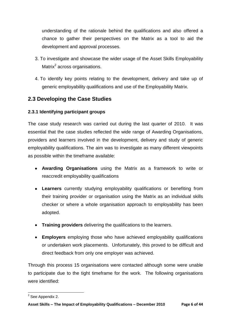understanding of the rationale behind the qualifications and also offered a chance to gather their perspectives on the Matrix as a tool to aid the development and approval processes.

- 3. To investigate and showcase the wider usage of the Asset Skills Employability Matrix<sup>2</sup> across organisations.
- 4. To identify key points relating to the development, delivery and take up of generic employability qualifications and use of the Employability Matrix.

## **2.3 Developing the Case Studies**

## **2.3.1 Identifying participant groups**

The case study research was carried out during the last quarter of 2010. It was essential that the case studies reflected the wide range of Awarding Organisations, providers and learners involved in the development, delivery and study of generic employability qualifications. The aim was to investigate as many different viewpoints as possible within the timeframe available:

- **Awarding Organisations** using the Matrix as a framework to write or reaccredit employability qualifications
- **Learners** currently studying employability qualifications or benefiting from their training provider or organisation using the Matrix as an individual skills checker or where a whole organisation approach to employability has been adopted.
- **Training providers** delivering the qualifications to the learners.
- **Employers** employing those who have achieved employability qualifications or undertaken work placements. Unfortunately, this proved to be difficult and direct feedback from only one employer was achieved.

Through this process 15 organisations were contacted although some were unable to participate due to the tight timeframe for the work. The following organisations were identified:

 2 See Appendix 2.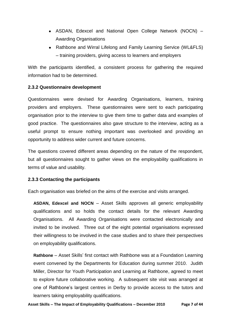- ASDAN, Edexcel and National Open College Network (NOCN) Awarding Organisations
- Rathbone and Wirral Lifelong and Family Learning Service (WL&FLS) – training providers, giving access to learners and employers

With the participants identified, a consistent process for gathering the required information had to be determined.

## **2.3.2 Questionnaire development**

Questionnaires were devised for Awarding Organisations, learners, training providers and employers. These questionnaires were sent to each participating organisation prior to the interview to give them time to gather data and examples of good practice. The questionnaires also gave structure to the interview, acting as a useful prompt to ensure nothing important was overlooked and providing an opportunity to address wider current and future concerns.

The questions covered different areas depending on the nature of the respondent, but all questionnaires sought to gather views on the employability qualifications in terms of value and usability.

## **2.3.3 Contacting the participants**

Each organisation was briefed on the aims of the exercise and visits arranged.

**ASDAN, Edexcel and NOCN** – Asset Skills approves all generic employability qualifications and so holds the contact details for the relevant Awarding Organisations. All Awarding Organisations were contacted electronically and invited to be involved. Three out of the eight potential organisations expressed their willingness to be involved in the case studies and to share their perspectives on employability qualifications.

**Rathbone** – Asset Skills" first contact with Rathbone was at a Foundation Learning event convened by the Departments for Education during summer 2010. Judith Miller, Director for Youth Participation and Learning at Rathbone, agreed to meet to explore future collaborative working. A subsequent site visit was arranged at one of Rathbone"s largest centres in Derby to provide access to the tutors and learners taking employability qualifications.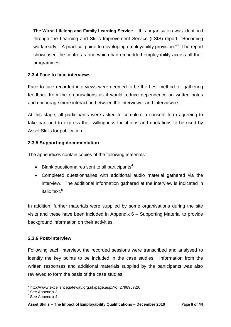**The Wirral Lifelong and Family Learning Service** – this organisation was identified through the Learning and Skills Improvement Service (LSIS) report: "Becoming work ready  $-$  A practical guide to developing employability provision." $3$  The report showcased the centre as one which had embedded employability across all their programmes.

## **2.3.4 Face to face interviews**

Face to face recorded interviews were deemed to be the best method for gathering feedback from the organisations as it would reduce dependence on written notes and encourage more interaction between the interviewer and interviewee.

At this stage, all participants were asked to complete a consent form agreeing to take part and to express their willingness for photos and quotations to be used by Asset Skills for publication.

## **2.3.5 Supporting documentation**

The appendices contain copies of the following materials:

- $\bullet$  Blank questionnaires sent to all participants<sup>4</sup>
- Completed questionnaires with additional audio material gathered via the interview. The additional information gathered at the interview is indicated in italic text. 5

In addition, further materials were supplied by some organisations during the site visits and these have been included in Appendix 6 – Supporting Material to provide background information on their activities.

## **2.3.6 Post-interview**

Following each interview, the recorded sessions were transcribed and analysed to identify the key points to be included in the case studies. Information from the written responses and additional materials supplied by the participants was also reviewed to form the basis of the case studies.

 3 http://www.excellencegateway.org.uk/page.aspx?o=279896%20. 4 See Appendix 3.

<sup>&</sup>lt;sup>5</sup> See Appendix 4.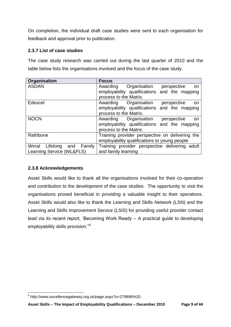On completion, the individual draft case studies were sent to each organisation for feedback and approval prior to publication.

## **2.3.7 List of case studies**

The case study research was carried out during the last quarter of 2010 and the table below lists the organisations involved and the focus of the case study.

| Organisation               | <b>Focus</b>                                    |
|----------------------------|-------------------------------------------------|
| <b>ASDAN</b>               | Awarding<br>Organisation<br>perspective<br>on   |
|                            | employability qualifications and the mapping    |
|                            | process to the Matrix.                          |
| Edexcel                    | Awarding Organisation<br>perspective<br>on      |
|                            | employability qualifications and the mapping    |
|                            | process to the Matrix.                          |
| <b>NOCN</b>                | Awarding Organisation<br>perspective<br>on      |
|                            | employability qualifications and the mapping    |
|                            | process to the Matrix.                          |
| Rathbone                   | Training provider perspective on delivering the |
|                            | employability qualifications to young people    |
| Wirral Lifelong and Family | Training provider perspective delivering adult  |
| Learning Service (WL&FLS)  | and family learning                             |

## **2.3.8 Acknowledgements**

Asset Skills would like to thank all the organisations involved for their co-operation and contribution to the development of the case studies. The opportunity to visit the organisations proved beneficial in providing a valuable insight to their operations. Asset Skills would also like to thank the Learning and Skills Network (LSN) and the Learning and Skills Improvement Service (LSIS) for providing useful provider contact lead via its recent report, "Becoming Work Ready – A practical guide to developing employability skills provision."<sup>6</sup>

 6 http://www.excellencegateway.org.uk/page.aspx?o=279896%20.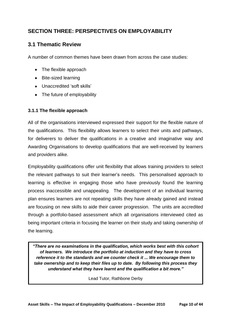## **SECTION THREE: PERSPECTIVES ON EMPLOYABILITY**

## **3.1 Thematic Review**

A number of common themes have been drawn from across the case studies:

- The flexible approach
- Bite-sized learning
- Unaccredited 'soft skills'
- The future of employability

## **3.1.1 The flexible approach**

All of the organisations interviewed expressed their support for the flexible nature of the qualifications. This flexibility allows learners to select their units and pathways, for deliverers to deliver the qualifications in a creative and imaginative way and Awarding Organisations to develop qualifications that are well-received by learners and providers alike.

Employability qualifications offer unit flexibility that allows training providers to select the relevant pathways to suit their learner"s needs. This personalised approach to learning is effective in engaging those who have previously found the learning process inaccessible and unappealing. The development of an individual learning plan ensures learners are not repeating skills they have already gained and instead are focusing on new skills to aide their career progression. The units are accredited through a portfolio-based assessment which all organisations interviewed cited as being important criteria in focusing the learner on their study and taking ownership of the learning.

*"There are no examinations in the qualification, which works best with this cohort of learners. We introduce the portfolio at induction and they have to cross reference it to the standards and we counter check it ... We encourage them to take ownership and to keep their files up to date. By following this process they understand what they have learnt and the qualification a bit more."* 

Lead Tutor, Rathbone Derby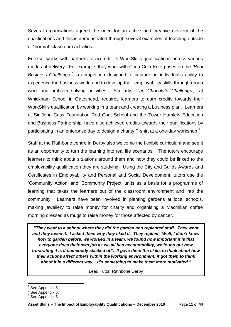Several organisations agreed the need for an active and creative delivery of the qualifications and this is demonstrated through several examples of teaching outside of "normal" classroom activities.

Edexcel works with partners to accredit its WorkSkills qualifications across various modes of delivery. For example, they work with Coca-Cola Enterprises on the *'Real Business Challenge<sup>7</sup>*: a competition designed to capture an individual's ability to experience the business world and to develop their employability skills through group work and problem solving activities. *8* at Whickham School in Gateshead, requires learners to earn credits towards their WorkSkills qualification by working in a team and creating a business plan. Learners at Sir John Cass Foundation Red Coat School and the Tower Hamlets Education and Business Partnership, have also achieved credits towards their qualifications by participating in an enterprise day to design a charity T-shirt at a one-day workshop. $^9$ 

Staff at the Rathbone centre in Derby also welcome the flexible curriculum and see it as an opportunity to turn the learning into real life scenarios. The tutors encourage learners to think about situations around them and how they could be linked to the employability qualification they are studying. Using the City and Guilds Awards and Certificates in Employability and Personal and Social Development, tutors use the "Community Action" and "Community Project" units as a basis for a programme of learning that takes the learners out of the classroom environment and into the community. Learners have been involved in planting gardens at local schools, making jewellery to raise money for charity and organising a Macmillan coffee morning dressed as mugs to raise money for those affected by cancer.

*"They went to a school where they did the garden and replanted stuff. They went and they loved it. I asked them why they liked it. They replied: "Well, I didn"t know how to garden before, we worked in a team, we found how important it is that everyone does their own job as we all had accountability, we found out how frustrating it is if somebody slacked off". It gave them the skills to think about how their actions affect others within the working environment; it got them to think about it in a different way... It"s something to make them more motivated."*

Lead Tutor, Rathbone Derby

<sup>1</sup>  $7$  See Appendix 6.

<sup>&</sup>lt;sup>8</sup> See Appendix 6.

<sup>&</sup>lt;sup>9</sup> See Appendix 6.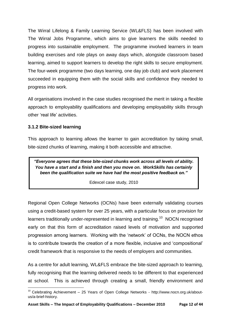The Wirral Lifelong & Family Learning Service (WL&FLS) has been involved with The Wirral Jobs Programme, which aims to give learners the skills needed to progress into sustainable employment. The programme involved learners in team building exercises and role plays on away days which, alongside classroom based learning, aimed to support learners to develop the right skills to secure employment. The four-week programme (two days learning, one day job club) and work placement succeeded in equipping them with the social skills and confidence they needed to progress into work.

All organisations involved in the case studies recognised the merit in taking a flexible approach to employability qualifications and developing employability skills through other "real life" activities.

## **3.1.2 Bite-sized learning**

This approach to learning allows the learner to gain accreditation by taking small, bite-sized chunks of learning, making it both accessible and attractive.

*"Everyone agrees that these bite-sized chunks work across all levels of ability. You have a start and a finish and then you move on. WorkSkills has certainly been the qualification suite we have had the most positive feedback on."*

Edexcel case study, 2010

Regional Open College Networks (OCNs) have been externally validating courses using a credit-based system for over 25 years, with a particular focus on provision for learners traditionally under-represented in learning and training.<sup>10</sup> NOCN recognised early on that this form of accreditation raised levels of motivation and supported progression among learners. Working with the "network" of OCNs, the NOCN ethos is to contribute towards the creation of a more flexible, inclusive and "compositional" credit framework that is responsive to the needs of employers and communities.

As a centre for adult learning, WL&FLS embrace the bite-sized approach to learning, fully recognising that the learning delivered needs to be different to that experienced at school. This is achieved through creating a small, friendly environment and

**<sup>.</sup>**  $10$  Celebrating Achievement – 25 Years of Open College Networks - http://www.nocn.org.uk/aboutus/a-brief-history.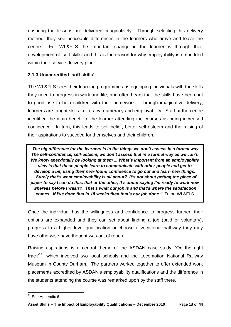ensuring the lessons are delivered imaginatively. Through selecting this delivery method, they see noticeable differences in the learners who arrive and leave the centre. For WL&FLS the important change in the learner is through their development of "soft skills" and this is the reason for why employability is embedded within their service delivery plan.

## **3.1.3 Unaccredited 'soft skills'**

The WL&FLS sees their learning programmes as equipping individuals with the skills they need to progress in work and life, and often hears that the skills have been put to good use to help children with their homework. Through imaginative delivery, learners are taught skills in literacy, numeracy and employability. Staff at the centre identified the main benefit to the learner attending the courses as being increased confidence. In turn, this leads to self belief, better self-esteem and the raising of their aspirations to succeed for themselves and their children.

*"The big difference for the learners is in the things we don"t assess in a formal way. The self-confidence, self-esteem, we don"t assess that in a formal way as we can"t. We know anecdotally by looking at them ... What"s important from an employability view is that these people learn to communicate with other people and get to develop a bit, using their new-found confidence to go out and learn new things. ..Surely that"s what employability is all about? It"s not about getting the piece of paper to say I can do this, that or the other, it"s about saying I"m ready to work now whereas before I wasn"t. That"s what our job is and that"s where the satisfaction comes. If I"ve done that in 15 weeks then that"s our job done."* Tutor, WL&FLS

Once the individual has the willingness and confidence to progress further, their options are expanded and they can set about finding a job (paid or voluntary), progress to a higher level qualification or choose a vocational pathway they may have otherwise have thought was out of reach.

Raising aspirations is a central theme of the ASDAN case study, "On the right track<sup>11</sup>, which involved two local schools and the Locomotion National Railway Museum in County Durham. The partners worked together to offer extended work placements accredited by ASDAN"s employability qualifications and the difference in the students attending the course was remarked upon by the staff there.

**<sup>.</sup>**  $11$  See Appendix 6.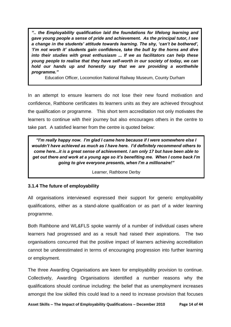*".. the Employability qualification laid the foundations for lifelong learning and gave young people a sense of pride and achievement. As the principal tutor, I see a change in the students" attitude towards learning. The shy, "can"t be bothered", "I"m not worth it" students gain confidence, take the bull by the horns and dive into their studies with great enthusiasm ... If we as facilitators can help these young people to realise that they have self-worth in our society of today, we can hold our hands up and honestly say that we are providing a worthwhile programme."*

Education Officer, Locomotion National Railway Museum, County Durham

In an attempt to ensure learners do not lose their new found motivation and confidence, Rathbone certificates its learners units as they are achieved throughout the qualification or programme. This short term accreditation not only motivates the learners to continue with their journey but also encourages others in the centre to take part. A satisfied learner from the centre is quoted below:

*"I"m really happy now. I"m glad I came here because if I were somewhere else I wouldn"t have achieved as much as I have here. I"d definitely recommend others to come here...it is a great sense of achievement. I am only 17 but have been able to get out there and work at a young age so it"s benefiting me. When I come back I"m going to give everyone presents, when I"m a millionaire!"*

Learner, Rathbone Derby

#### **3.1.4 The future of employability**

All organisations interviewed expressed their support for generic employability qualifications, either as a stand-alone qualification or as part of a wider learning programme.

Both Rathbone and WL&FLS spoke warmly of a number of individual cases where learners had progressed and as a result had raised their aspirations. The two organisations concurred that the positive impact of learners achieving accreditation cannot be underestimated in terms of encouraging progression into further learning or employment.

The three Awarding Organisations are keen for employability provision to continue. Collectively, Awarding Organisations identified a number reasons why the qualifications should continue including: the belief that as unemployment increases amongst the low skilled this could lead to a need to increase provision that focuses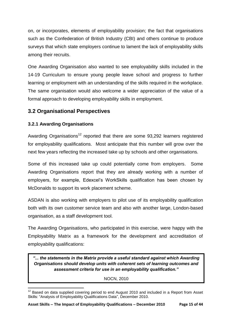on, or incorporates, elements of employability provision; the fact that organisations such as the Confederation of British Industry (CBI) and others continue to produce surveys that which state employers continue to lament the lack of employability skills among their recruits.

One Awarding Organisation also wanted to see employability skills included in the 14-19 Curriculum to ensure young people leave school and progress to further learning or employment with an understanding of the skills required in the workplace. The same organisation would also welcome a wider appreciation of the value of a formal approach to developing employability skills in employment.

## **3.2 Organisational Perspectives**

## **3.2.1 Awarding Organisations**

Awarding Organisations<sup>12</sup> reported that there are some  $93,292$  learners registered for employability qualifications. Most anticipate that this number will grow over the next few years reflecting the increased take up by schools and other organisations.

Some of this increased take up could potentially come from employers. Some Awarding Organisations report that they are already working with a number of employers, for example, Edexcel"s WorkSkills qualification has been chosen by McDonalds to support its work placement scheme.

ASDAN is also working with employers to pilot use of its employability qualification both with its own customer service team and also with another large, London-based organisation, as a staff development tool.

The Awarding Organisations, who participated in this exercise, were happy with the Employability Matrix as a framework for the development and accreditation of employability qualifications:

*"... the statements in the Matrix provide a useful standard against which Awarding Organisations should develop units with coherent sets of learning outcomes and assessment criteria for use in an employability qualification."*

NOCN, 2010

**<sup>.</sup>**  $12$  Based on data supplied covering period to end August 2010 and included in a Report from Asset Skills: "Analysis of Employability Qualifications Data", December 2010.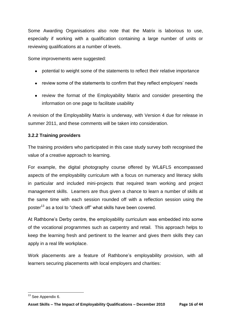Some Awarding Organisations also note that the Matrix is laborious to use, especially if working with a qualification containing a large number of units or reviewing qualifications at a number of levels.

Some improvements were suggested:

- potential to weight some of the statements to reflect their relative importance
- review some of the statements to confirm that they reflect employers' needs
- review the format of the Employability Matrix and consider presenting the information on one page to facilitate usability

A revision of the Employability Matrix is underway, with Version 4 due for release in summer 2011, and these comments will be taken into consideration.

## **3.2.2 Training providers**

The training providers who participated in this case study survey both recognised the value of a creative approach to learning.

For example, the digital photography course offered by WL&FLS encompassed aspects of the employability curriculum with a focus on numeracy and literacy skills in particular and included mini-projects that required team working and project management skills. Learners are thus given a chance to learn a number of skills at the same time with each session rounded off with a reflection session using the poster<sup>13</sup> as a tool to "check off" what skills have been covered.

At Rathbone"s Derby centre, the employability curriculum was embedded into some of the vocational programmes such as carpentry and retail. This approach helps to keep the learning fresh and pertinent to the learner and gives them skills they can apply in a real life workplace.

Work placements are a feature of Rathbone"s employability provision, with all learners securing placements with local employers and charities:

**<sup>.</sup>** <sup>13</sup> See Appendix 6.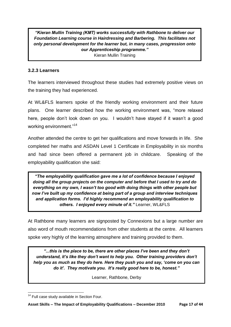*"Kieran Mullin Training (KMT) works successfully with Rathbone to deliver our Foundation Learning course in Hairdressing and Barbering. This facilitates not only personal development for the learner but, in many cases, progression onto our Apprenticeship programme."* Kieran Mullin Training

## **3.2.3 Learners**

The learners interviewed throughout these studies had extremely positive views on the training they had experienced.

At WL&FLS learners spoke of the friendly working environment and their future plans. One learner described how the working environment was, "more relaxed here, people don't look down on you. I wouldn't have stayed if it wasn't a good working environment."<sup>14</sup>

Another attended the centre to get her qualifications and move forwards in life. She completed her maths and ASDAN Level 1 Certificate in Employability in six months and had since been offered a permanent job in childcare. Speaking of the employability qualification she said:

*"The employability qualification gave me a lot of confidence because I enjoyed doing all the group projects on the computer and before that I used to try and do everything on my own, I wasn"t too good with doing things with other people but now I"ve built up my confidence at being part of a group and interview techniques and application forms. I"d highly recommend an employability qualification to others. I enjoyed every minute of it."* Learner, WL&FLS

At Rathbone many learners are signposted by Connexions but a large number are also word of mouth recommendations from other students at the centre. All learners spoke very highly of the learning atmosphere and training provided to them.

*"...this is the place to be, there are other places I"ve been and they don"t understand, it"s like they don"t want to help you. Other training providers don"t help you as much as they do here. Here they push you and say, "come on you can do it". They motivate you. It"s really good here to be, honest."*

Learner, Rathbone, Derby

**<sup>.</sup>** <sup>14</sup> Full case study available in Section Four.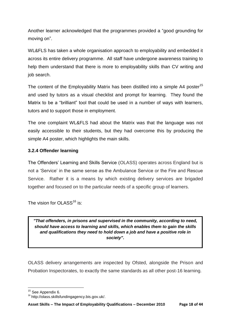Another learner acknowledged that the programmes provided a "good grounding for moving on".

WL&FLS has taken a whole organisation approach to employability and embedded it across its entire delivery programme. All staff have undergone awareness training to help them understand that there is more to employability skills than CV writing and job search.

The content of the Employability Matrix has been distilled into a simple A4 poster<sup>15</sup> and used by tutors as a visual checklist and prompt for learning. They found the Matrix to be a "brilliant" tool that could be used in a number of ways with learners, tutors and to support those in employment.

The one complaint WL&FLS had about the Matrix was that the language was not easily accessible to their students, but they had overcome this by producing the simple A4 poster, which highlights the main skills.

## **3.2.4 Offender learning**

The Offenders" Learning and Skills Service (OLASS) operates across England but is not a "Service" in the same sense as the Ambulance Service or the Fire and Rescue Service. Rather it is a means by which existing delivery services are brigaded together and focused on to the particular needs of a specific group of learners.

The vision for OLASS $^{16}$  is:

*"That offenders, in prisons and supervised in the community, according to need, should have access to learning and skills, which enables them to gain the skills and qualifications they need to hold down a job and have a positive role in society".*

OLASS delivery arrangements are inspected by Ofsted, alongside the Prison and Probation Inspectorates, to exactly the same standards as all other post-16 learning.

**<sup>.</sup>** <sup>15</sup> See Appendix 6.

<sup>16</sup> http://olass.skillsfundingagency.bis.gov.uk/.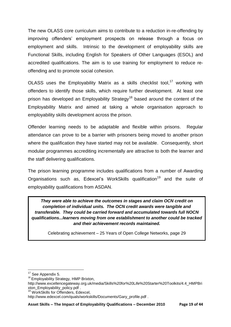The new OLASS core curriculum aims to contribute to a reduction in-re-offending by improving offenders" employment prospects on release through a focus on employment and skills. Intrinsic to the development of employability skills are Functional Skills, including English for Speakers of Other Languages (ESOL) and accredited qualifications. The aim is to use training for employment to reduce reoffending and to promote social cohesion.

OLASS uses the Employability Matrix as a skills checklist tool,<sup>17</sup> working with offenders to identify those skills, which require further development. At least one prison has developed an Employability Strategy<sup>18</sup> based around the content of the Employability Matrix and aimed at taking a whole organisation approach to employability skills development across the prison.

Offender learning needs to be adaptable and flexible within prisons. Regular attendance can prove to be a barrier with prisoners being moved to another prison where the qualification they have started may not be available. Consequently, short modular programmes accrediting incrementally are attractive to both the learner and the staff delivering qualifications.

The prison learning programme includes qualifications from a number of Awarding Organisations such as, Edexcel's WorkSkills qualification<sup>19</sup> and the suite of employability qualifications from ASDAN.

*They were able to achieve the outcomes in stages and claim OCN credit on completion of individual units. The OCN credit awards were tangible and transferable. They could be carried forward and accumulated towards full NOCN qualifications...learners moving from one establishment to another could be tracked and their achievement records maintained.*

Celebrating achievement – 25 Years of Open College Networks, page 29

- <sup>18</sup> Emplovability Strategy, HMP Brixton,
- http://www.excellencegateway.org.uk/media/Skills%20for%20Life%20Starter%20Toolkits/4.4\_HMPBri xton\_Employability\_policy.pdf .
- <sup>19</sup> WorkSkills for Offenders, Edexcel,

 $\overline{\phantom{a}}$ <sup>17</sup> See Appendix 5.

http://www.edexcel.com/quals/workskills/Documents/Gary\_profile.pdf .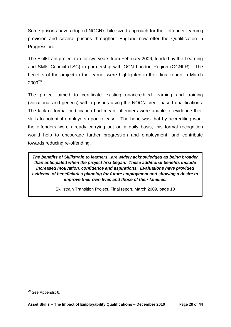Some prisons have adopted NOCN"s bite-sized approach for their offender learning provision and several prisons throughout England now offer the Qualification in Progression.

The Skillstrain project ran for two years from February 2006, funded by the Learning and Skills Council (LSC) in partnership with OCN London Region (OCNLR). The benefits of the project to the learner were highlighted in their final report in March  $2009^{20}$ .

The project aimed to certificate existing unaccredited learning and training (vocational and generic) within prisons using the NOCN credit-based qualifications. The lack of formal certification had meant offenders were unable to evidence their skills to potential employers upon release. The hope was that by accrediting work the offenders were already carrying out on a daily basis, this formal recognition would help to encourage further progression and employment, and contribute towards reducing re-offending.

*The benefits of Skillstrain to learners...are widely acknowledged as being broader than anticipated when the project first began. These additional benefits include increased motivation, confidence and aspirations. Evaluations have provided evidence of beneficiaries planning for future employment and showing a desire to improve their own lives and those of their families.*

Skillstrain Transition Project, Final report, March 2009, page 10

1

<sup>&</sup>lt;sup>20</sup> See Appendix 6.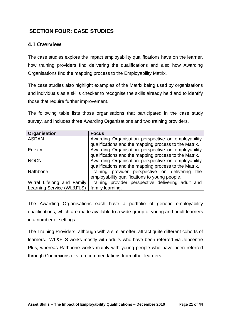## **SECTION FOUR: CASE STUDIES**

## **4.1 Overview**

The case studies explore the impact employability qualifications have on the learner, how training providers find delivering the qualifications and also how Awarding Organisations find the mapping process to the Employability Matrix.

The case studies also highlight examples of the Matrix being used by organisations and individuals as a skills checker to recognise the skills already held and to identify those that require further improvement.

The following table lists those organisations that participated in the case study survey, and includes three Awarding Organisations and two training providers.

| Organisation               | <b>Focus</b>                                          |
|----------------------------|-------------------------------------------------------|
| <b>ASDAN</b>               | Awarding Organisation perspective on employability    |
|                            | qualifications and the mapping process to the Matrix. |
| Edexcel                    | Awarding Organisation perspective on employability    |
|                            | qualifications and the mapping process to the Matrix. |
| <b>NOCN</b>                | Awarding Organisation perspective on employability    |
|                            | qualifications and the mapping process to the Matrix. |
| Rathbone                   | Training provider perspective on delivering<br>the    |
|                            | employability qualifications to young people.         |
| Wirral Lifelong and Family | Training provider perspective delivering adult and    |
| Learning Service (WL&FLS)  | family learning.                                      |

The Awarding Organisations each have a portfolio of generic employability qualifications, which are made available to a wide group of young and adult learners in a number of settings.

The Training Providers, although with a similar offer, attract quite different cohorts of learners. WL&FLS works mostly with adults who have been referred via Jobcentre Plus, whereas Rathbone works mainly with young people who have been referred through Connexions or via recommendations from other learners.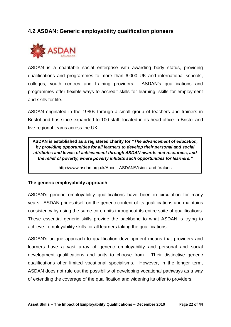## **4.2 ASDAN: Generic employability qualification pioneers**



ASDAN is a charitable social enterprise with awarding body status, providing qualifications and programmes to more than 6,000 UK and international schools, colleges, youth centres and training providers. ASDAN"s qualifications and programmes offer flexible ways to accredit skills for learning, skills for employment and skills for life.

ASDAN originated in the 1980s through a small group of teachers and trainers in Bristol and has since expanded to 100 staff, located in its head office in Bristol and five regional teams across the UK.

**ASDAN is established as a registered charity for** *"The advancement of education, by providing opportunities for all learners to develop their personal and social attributes and levels of achievement through ASDAN awards and resources, and the relief of poverty, where poverty inhibits such opportunities for learners."*

http://www.asdan.org.uk/About\_ASDAN/Vision\_and\_Values

#### **The generic employability approach**

ASDAN"s generic employability qualifications have been in circulation for many years. ASDAN prides itself on the generic content of its qualifications and maintains consistency by using the same core units throughout its entire suite of qualifications. These essential generic skills provide the backbone to what ASDAN is trying to achieve: employability skills for all learners taking the qualifications.

ASDAN"s unique approach to qualification development means that providers and learners have a vast array of generic employability and personal and social development qualifications and units to choose from. Their distinctive generic qualifications offer limited vocational specialisms. However, in the longer term, ASDAN does not rule out the possibility of developing vocational pathways as a way of extending the coverage of the qualification and widening its offer to providers.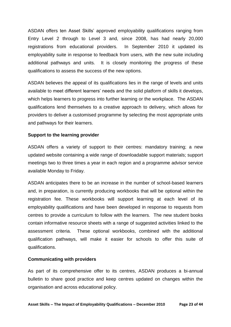ASDAN offers ten Asset Skills" approved employability qualifications ranging from Entry Level 2 through to Level 3 and, since 2008, has had nearly 20,000 registrations from educational providers. In September 2010 it updated its employability suite in response to feedback from users, with the new suite including additional pathways and units. It is closely monitoring the progress of these qualifications to assess the success of the new options.

ASDAN believes the appeal of its qualifications lies in the range of levels and units available to meet different learners' needs and the solid platform of skills it develops, which helps learners to progress into further learning or the workplace. The ASDAN qualifications lend themselves to a creative approach to delivery, which allows for providers to deliver a customised programme by selecting the most appropriate units and pathways for their learners.

#### **Support to the learning provider**

ASDAN offers a variety of support to their centres: mandatory training; a new updated website containing a wide range of downloadable support materials; support meetings two to three times a year in each region and a programme advisor service available Monday to Friday.

ASDAN anticipates there to be an increase in the number of school-based learners and, in preparation, is currently producing workbooks that will be optional within the registration fee. These workbooks will support learning at each level of its employability qualifications and have been developed in response to requests from centres to provide a curriculum to follow with the learners. The new student books contain informative resource sheets with a range of suggested activities linked to the assessment criteria. These optional workbooks, combined with the additional qualification pathways, will make it easier for schools to offer this suite of qualifications.

#### **Communicating with providers**

As part of its comprehensive offer to its centres, ASDAN produces a bi-annual bulletin to share good practice and keep centres updated on changes within the organisation and across educational policy.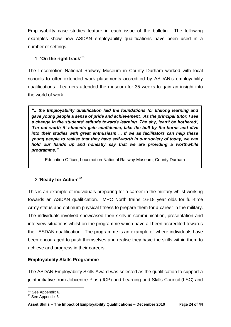Employability case studies feature in each issue of the bulletin. The following examples show how ASDAN employability qualifications have been used in a number of settings.

## 1. **'On the right track'**<sup>21</sup>

The Locomotion National Railway Museum in County Durham worked with local schools to offer extended work placements accredited by ASDAN"s employability qualifications. Learners attended the museum for 35 weeks to gain an insight into the world of work.

*".. the Employability qualification laid the foundations for lifelong learning and gave young people a sense of pride and achievement. As the principal tutor, I see a change in the students" attitude towards learning. The shy, "can"t be bothered", "I"m not worth it" students gain confidence, take the bull by the horns and dive into their studies with great enthusiasm ... If we as facilitators can help these young people to realise that they have self-worth in our society of today, we can hold our hands up and honestly say that we are providing a worthwhile programme."*

Education Officer, Locomotion National Railway Museum, County Durham

## 2.**'Ready for Action'<sup>22</sup>**

This is an example of individuals preparing for a career in the military whilst working towards an ASDAN qualification. MPC North trains 16-18 year olds for full-time Army status and optimum physical fitness to prepare them for a career in the military. The individuals involved showcased their skills in communication, presentation and interview situations whilst on the programme which have all been accredited towards their ASDAN qualification. The programme is an example of where individuals have been encouraged to push themselves and realise they have the skills within them to achieve and progress in their careers.

## **Employability Skills Programme**

The ASDAN Employability Skills Award was selected as the qualification to support a joint initiative from Jobcentre Plus (JCP) and Learning and Skills Council (LSC) and

**<sup>.</sup>**  $21$  See Appendix 6.

 $22$  See Appendix 6.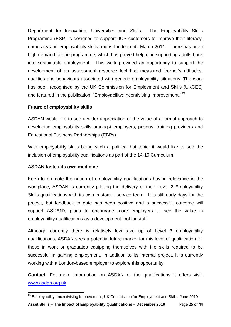Department for Innovation, Universities and Skills. The Employability Skills Programme (ESP) is designed to support JCP customers to improve their literacy, numeracy and employability skills and is funded until March 2011. There has been high demand for the programme, which has proved helpful in supporting adults back into sustainable employment. This work provided an opportunity to support the development of an assessment resource tool that measured learner"s attitudes, qualities and behaviours associated with generic employability situations. The work has been recognised by the UK Commission for Employment and Skills (UKCES) and featured in the publication: "Employability: Incentivising Improvement."<sup>23</sup>

## **Future of employability skills**

ASDAN would like to see a wider appreciation of the value of a formal approach to developing employability skills amongst employers, prisons, training providers and Educational Business Partnerships (EBPs).

With employability skills being such a political hot topic, it would like to see the inclusion of employability qualifications as part of the 14-19 Curriculum.

#### **ASDAN tastes its own medicine**

**.** 

Keen to promote the notion of employability qualifications having relevance in the workplace, ASDAN is currently piloting the delivery of their Level 2 Employability Skills qualifications with its own customer service team. It is still early days for the project, but feedback to date has been positive and a successful outcome will support ASDAN"s plans to encourage more employers to see the value in employability qualifications as a development tool for staff.

Although currently there is relatively low take up of Level 3 employability qualifications, ASDAN sees a potential future market for this level of qualification for those in work or graduates equipping themselves with the skills required to be successful in gaining employment. In addition to its internal project, it is currently working with a London-based employer to explore this opportunity.

**Contact:** For more information on ASDAN or the qualifications it offers visit: [www.asdan.org.uk](http://www.asdan.org.uk/)

 $^{23}$  Employability: Incentivising Improvement, UK Commission for Employment and Skills, June 2010.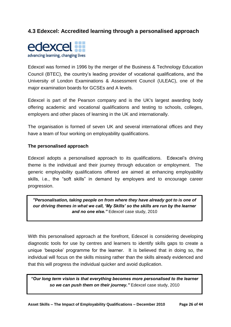## **4.3 Edexcel: Accredited learning through a personalised approach**



Edexcel was formed in 1996 by the merger of the Business & Technology Education Council (BTEC), the country"s leading provider of vocational qualifications, and the University of London Examinations & Assessment Council (ULEAC), one of the major examination boards for GCSEs and A levels.

Edexcel is part of the Pearson company and is the UK's largest awarding body offering academic and vocational qualifications and testing to schools, colleges, employers and other places of learning in the UK and internationally.

The organisation is formed of seven UK and several international offices and they have a team of four working on employability qualifications.

## **The personalised approach**

Edexcel adopts a personalised approach to its qualifications. Edexcel's driving theme is the individual and their journey through education or employment. The generic employability qualifications offered are aimed at enhancing employability skills, i.e., the "soft skills" in demand by employers and to encourage career progression.

*"Personalisation, taking people on from where they have already got to is one of our driving themes in what we call, "My Skills" so the skills are run by the learner and no one else."* Edexcel case study, 2010

With this personalised approach at the forefront, Edexcel is considering developing diagnostic tools for use by centres and learners to identify skills gaps to create a unique "bespoke" programme for the learner. It is believed that in doing so, the individual will focus on the skills missing rather than the skills already evidenced and that this will progress the individual quicker and avoid duplication.

*"Our long term vision is that everything becomes more personalised to the learner so we can push them on their journey."* Edexcel case study, 2010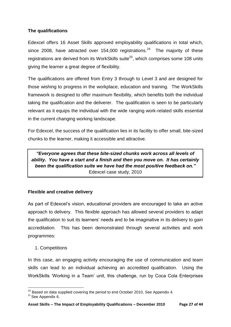## **The qualifications**

Edexcel offers 16 Asset Skills approved employability qualifications in total which, since 2008, have attracted over 154,000 registrations.<sup>24</sup> The majority of these registrations are derived from its WorkSkills suite<sup>25</sup>, which comprises some 108 units giving the learner a great degree of flexibility.

The qualifications are offered from Entry 3 through to Level 3 and are designed for those wishing to progress in the workplace, education and training. The WorkSkills framework is designed to offer maximum flexibility, which benefits both the individual taking the qualification and the deliverer. The qualification is seen to be particularly relevant as it equips the individual with the wide ranging work-related skills essential in the current changing working landscape.

For Edexcel, the success of the qualification lies in its facility to offer small, bite-sized chunks to the learner, making it accessible and attractive.

*"Everyone agrees that these bite-sized chunks work across all levels of ability. You have a start and a finish and then you move on. It has certainly been the qualification suite we have had the most positive feedback on."*  Edexcel case study, 2010

## **Flexible and creative delivery**

As part of Edexcel"s vision, educational providers are encouraged to take an active approach to delivery. This flexible approach has allowed several providers to adapt the qualification to suit its learners" needs and to be imaginative in its delivery to gain accreditation. This has been demonstrated through several activities and work programmes:

1. Competitions

In this case, an engaging activity encouraging the use of communication and team skills can lead to an individual achieving an accredited qualification. Using the WorkSkills "Working in a Team" unit, this challenge, run by Coca Cola Enterprises

**<sup>.</sup>**  $^{24}$  Based on data supplied covering the period to end October 2010, See Appendix 4.

 $25$  See Appendix 6.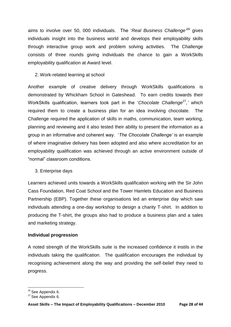aims to involve over 50, 000 individuals. The 'Real Business Challenge<sup>26</sup> gives individuals insight into the business world and develops their employability skills through interactive group work and problem solving activities. The Challenge consists of three rounds giving individuals the chance to gain a WorkSkills employability qualification at Award level.

## 2. Work-related learning at school

Another example of creative delivery through WorkSkills qualifications is demonstrated by Whickham School in Gateshead. To earn credits towards their WorkSkills qualification, learners took part in the 'Chocolate Challenge<sup>27</sup>,' which required them to create a business plan for an idea involving chocolate. The Challenge required the application of skills in maths, communication, team working, planning and reviewing and it also tested their ability to present the information as a group in an informative and coherent way. "*The Chocolate Challenge'* is an example of where imaginative delivery has been adopted and also where accreditation for an employability qualification was achieved through an active environment outside of "normal" classroom conditions.

#### 3. Enterprise days

Learners achieved units towards a WorkSkills qualification working with the Sir John Cass Foundation, Red Coat School and the Tower Hamlets Education and Business Partnership (EBP). Together these organisations led an enterprise day which saw individuals attending a one-day workshop to design a charity T-shirt. In addition to producing the T-shirt, the groups also had to produce a business plan and a sales and marketing strategy.

#### **Individual progression**

A noted strength of the WorkSkills suite is the increased confidence it instils in the individuals taking the qualification. The qualification encourages the individual by recognising achievement along the way and providing the self-belief they need to progress.

<sup>1</sup> <sup>26</sup> See Appendix 6.

<sup>&</sup>lt;sup>27</sup> See Appendix 6.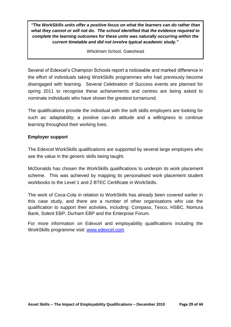*"The WorkSkills units offer a positive focus on what the learners can do rather than what they cannot or will not do. The school identified that the evidence required to complete the learning outcomes for these units was naturally occurring within the current timetable and did not involve typical academic study."* 

Whickham School, Gateshead

Several of Edexcel"s Champion Schools report a noticeable and marked difference in the effort of individuals taking WorkSkills programmes who had previously become disengaged with learning. Several Celebration of Success events are planned for spring 2011 to recognise these achievements and centres are being asked to nominate individuals who have shown the greatest turnaround.

The qualifications provide the individual with the soft skills employers are looking for such as: adaptability; a positive can-do attitude and a willingness to continue learning throughout their working lives.

## **Employer support**

The Edexcel WorkSkills qualifications are supported by several large employers who see the value in the generic skills being taught.

McDonalds has chosen the WorkSkills qualifications to underpin its work placement scheme. This was achieved by mapping its personalised work placement student workbooks to the Level 1 and 2 BTEC Certificate in WorkSkills.

The work of Coca-Cola in relation to WorkSkills has already been covered earlier in this case study, and there are a number of other organisations who use the qualification to support their activities, including: Compass, Tesco, HSBC, Nomura Bank, Solent EBP, Durham EBP and the Enterprise Forum.

For more information on Edexcel and employability qualifications including the WorkSkills programme visit: [www.edexcel.com](http://www.edexcel.com/)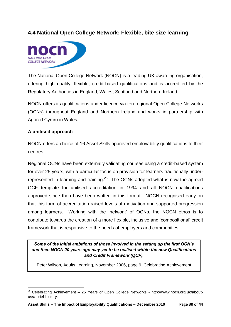## **4.4 National Open College Network: Flexible, bite size learning**



The National Open College Network (NOCN) is a leading UK awarding organisation, offering high quality, flexible, credit-based qualifications and is accredited by the Regulatory Authorities in England, Wales, Scotland and Northern Ireland.

NOCN offers its qualifications under licence via ten regional Open College Networks (OCNs) throughout England and Northern Ireland and works in partnership with Agored Cymru in Wales.

## **A unitised approach**

NOCN offers a choice of 16 Asset Skills approved employability qualifications to their centres.

Regional OCNs have been externally validating courses using a credit-based system for over 25 years, with a particular focus on provision for learners traditionally underrepresented in learning and training. $28$  The OCNs adopted what is now the agreed QCF template for unitised accreditation in 1994 and all NOCN qualifications approved since then have been written in this format. NOCN recognised early on that this form of accreditation raised levels of motivation and supported progression among learners. Working with the "network" of OCNs, the NOCN ethos is to contribute towards the creation of a more flexible, inclusive and "compositional" credit framework that is responsive to the needs of employers and communities.

*Some of the initial ambitions of those involved in the setting up the first OCN"s and then NOCN 20 years ago may yet to be realised within the new Qualifications and Credit Framework (QCF).*

Peter Wilson, Adults Learning, November 2006, page 9, Celebrating Achievement

**<sup>.</sup>**  $28$  Celebrating Achievement - 25 Years of Open College Networks - http://www.nocn.org.uk/aboutus/a-brief-history.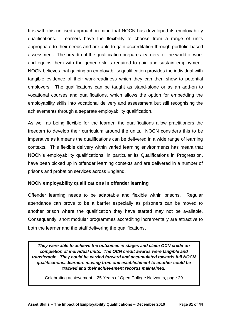It is with this unitised approach in mind that NOCN has developed its employability qualifications. Learners have the flexibility to choose from a range of units appropriate to their needs and are able to gain accreditation through portfolio-based assessment. The breadth of the qualification prepares learners for the world of work and equips them with the generic skills required to gain and sustain employment. NOCN believes that gaining an employability qualification provides the individual with tangible evidence of their work-readiness which they can then show to potential employers. The qualifications can be taught as stand-alone or as an add-on to vocational courses and qualifications, which allows the option for embedding the employability skills into vocational delivery and assessment but still recognising the achievements through a separate employability qualification.

As well as being flexible for the learner, the qualifications allow practitioners the freedom to develop their curriculum around the units. NOCN considers this to be imperative as it means the qualifications can be delivered in a wide range of learning contexts. This flexible delivery within varied learning environments has meant that NOCN"s employability qualifications, in particular its Qualifications in Progression, have been picked up in offender learning contexts and are delivered in a number of prisons and probation services across England.

## **NOCN employability qualifications in offender learning**

Offender learning needs to be adaptable and flexible within prisons. Regular attendance can prove to be a barrier especially as prisoners can be moved to another prison where the qualification they have started may not be available. Consequently, short modular programmes accrediting incrementally are attractive to both the learner and the staff delivering the qualifications.

*They were able to achieve the outcomes in stages and claim OCN credit on completion of individual units. The OCN credit awards were tangible and transferable. They could be carried forward and accumulated towards full NOCN qualifications...learners moving from one establishment to another could be tracked and their achievement records maintained.*

Celebrating achievement – 25 Years of Open College Networks, page 29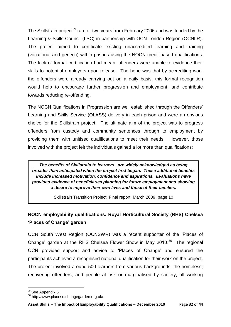The Skillstrain project<sup>29</sup> ran for two years from February 2006 and was funded by the Learning & Skills Council (LSC) in partnership with OCN London Region (OCNLR). The project aimed to certificate existing unaccredited learning and training (vocational and generic) within prisons using the NOCN credit-based qualifications. The lack of formal certification had meant offenders were unable to evidence their skills to potential employers upon release. The hope was that by accrediting work the offenders were already carrying out on a daily basis, this formal recognition would help to encourage further progression and employment, and contribute towards reducing re-offending.

The NOCN Qualifications in Progression are well established through the Offenders" Learning and Skills Service (OLASS) delivery in each prison and were an obvious choice for the Skillstrain project. The ultimate aim of the project was to progress offenders from custody and community sentences through to employment by providing them with unitised qualifications to meet their needs. However, those involved with the project felt the individuals gained a lot more than qualifications:

*The benefits of Skillstrain to learners...are widely acknowledged as being broader than anticipated when the project first began. These additional benefits include increased motivation, confidence and aspirations. Evaluations have provided evidence of beneficiaries planning for future employment and showing a desire to improve their own lives and those of their families.*

Skillstrain Transition Project, Final report, March 2009, page 10

## **NOCN employability qualifications: Royal Horticultural Society (RHS) Chelsea 'Places of Change' garden**

OCN South West Region (OCNSWR) was a recent supporter of the "Places of Change' garden at the RHS Chelsea Flower Show in May 2010. $30$  The regional OCN provided support and advice to "Places of Change" and ensured the participants achieved a recognised national qualification for their work on the project. The project involved around 500 learners from various backgrounds: the homeless; recovering offenders; and people at risk or marginalised by society, all working

**.** 

<sup>&</sup>lt;sup>29</sup> See Appendix 6.

<sup>30</sup> http://www.placesofchangegarden.org.uk/.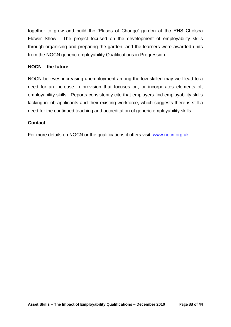together to grow and build the "Places of Change" garden at the RHS Chelsea Flower Show. The project focused on the development of employability skills through organising and preparing the garden, and the learners were awarded units from the NOCN generic employability Qualifications in Progression.

#### **NOCN – the future**

NOCN believes increasing unemployment among the low skilled may well lead to a need for an increase in provision that focuses on, or incorporates elements of, employability skills. Reports consistently cite that employers find employability skills lacking in job applicants and their existing workforce, which suggests there is still a need for the continued teaching and accreditation of generic employability skills.

#### **Contact**

For more details on NOCN or the qualifications it offers visit: [www.nocn.org.uk](http://www.nocn.org.uk/)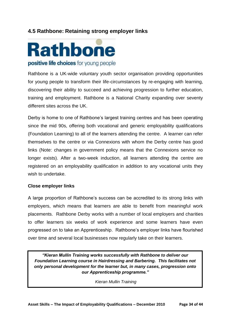## **4.5 Rathbone: Retaining strong employer links**



Rathbone is a UK-wide voluntary youth sector organisation providing opportunities for young people to transform their life-circumstances by re-engaging with learning, discovering their ability to succeed and achieving progression to further education, training and employment. Rathbone is a National Charity expanding over seventy different sites across the UK.

Derby is home to one of Rathbone"s largest training centres and has been operating since the mid 90s, offering both vocational and generic employability qualifications (Foundation Learning) to all of the learners attending the centre. A learner can refer themselves to the centre or via Connexions with whom the Derby centre has good links (Note: changes in government policy means that the Connexions service no longer exists). After a two-week induction, all learners attending the centre are registered on an employability qualification in addition to any vocational units they wish to undertake.

#### **Close employer links**

A large proportion of Rathbone"s success can be accredited to its strong links with employers, which means that learners are able to benefit from meaningful work placements. Rathbone Derby works with a number of local employers and charities to offer learners six weeks of work experience and some learners have even progressed on to take an Apprenticeship. Rathbone"s employer links have flourished over time and several local businesses now regularly take on their learners.

*"Kieran Mullin Training works successfully with Rathbone to deliver our Foundation Learning course in Hairdressing and Barbering. This facilitates not only personal development for the learner but, in many cases, progression onto our Apprenticeship programme."* 

*Kieran Mullin Training*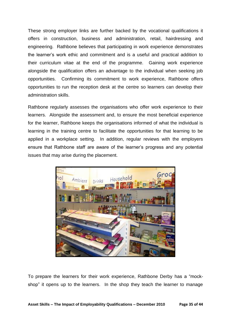These strong employer links are further backed by the vocational qualifications it offers in construction, business and administration, retail, hairdressing and engineering. Rathbone believes that participating in work experience demonstrates the learner"s work ethic and commitment and is a useful and practical addition to their curriculum vitae at the end of the programme. Gaining work experience alongside the qualification offers an advantage to the individual when seeking job opportunities. Confirming its commitment to work experience, Rathbone offers opportunities to run the reception desk at the centre so learners can develop their administration skills.

Rathbone regularly assesses the organisations who offer work experience to their learners. Alongside the assessment and, to ensure the most beneficial experience for the learner, Rathbone keeps the organisations informed of what the individual is learning in the training centre to facilitate the opportunities for that learning to be applied in a workplace setting. In addition, regular reviews with the employers ensure that Rathbone staff are aware of the learner"s progress and any potential issues that may arise during the placement.



To prepare the learners for their work experience, Rathbone Derby has a "mockshop" it opens up to the learners. In the shop they teach the learner to manage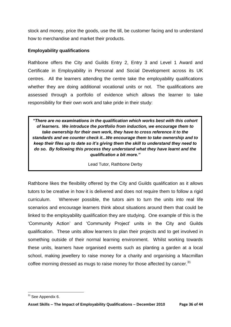stock and money, price the goods, use the till, be customer facing and to understand how to merchandise and market their products.

## **Employability qualifications**

Rathbone offers the City and Guilds Entry 2, Entry 3 and Level 1 Award and Certificate in Employability in Personal and Social Development across its UK centres. All the learners attending the centre take the employability qualifications whether they are doing additional vocational units or not. The qualifications are assessed through a portfolio of evidence which allows the learner to take responsibility for their own work and take pride in their study:

*"There are no examinations in the qualification which works best with this cohort of learners. We introduce the portfolio from induction, we encourage them to take ownership for their own work, they have to cross reference it to the standards and we counter check it...We encourage them to take ownership and to keep their files up to date so it"s giving them the skill to understand they need to do so. By following this process they understand what they have learnt and the qualification a bit more."* 

Lead Tutor, Rathbone Derby

Rathbone likes the flexibility offered by the City and Guilds qualification as it allows tutors to be creative in how it is delivered and does not require them to follow a rigid curriculum. Wherever possible, the tutors aim to turn the units into real life scenarios and encourage learners think about situations around them that could be linked to the employability qualification they are studying. One example of this is the "Community Action" and "Community Project" units in the City and Guilds qualification. These units allow learners to plan their projects and to get involved in something outside of their normal learning environment. Whilst working towards these units, learners have organised events such as planting a garden at a local school, making jewellery to raise money for a charity and organising a Macmillan coffee morning dressed as mugs to raise money for those affected by cancer. $31$ 

**<sup>.</sup>**  $31$  See Appendix 6.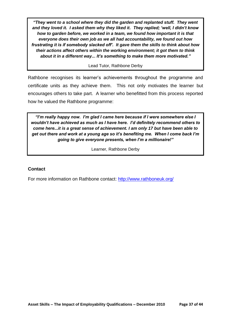*"They went to a school where they did the garden and replanted stuff. They went and they loved it. I asked them why they liked it. They replied; "well, I didn"t know how to garden before, we worked in a team, we found how important it is that everyone does their own job as we all had accountability, we found out how frustrating it is if somebody slacked off". It gave them the skills to think about how their actions affect others within the working environment; it got them to think about it in a different way... It"s something to make them more motivated."*

#### Lead Tutor, Rathbone Derby

Rathbone recognises its learner"s achievements throughout the programme and certificate units as they achieve them. This not only motivates the learner but encourages others to take part. A learner who benefitted from this process reported how he valued the Rathbone programme:

*"I"m really happy now. I"m glad I came here because if I were somewhere else I wouldn"t have achieved as much as I have here. I"d definitely recommend others to come here...it is a great sense of achievement. I am only 17 but have been able to get out there and work at a young age so it"s benefiting me. When I come back I"m going to give everyone presents, when I"m a millionaire!"*

Learner, Rathbone Derby

#### **Contact**

For more information on Rathbone contact: <http://www.rathboneuk.org/>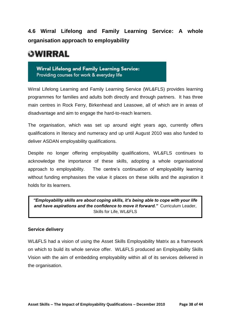## **4.6 Wirral Lifelong and Family Learning Service: A whole organisation approach to employability**

# OWIRRAL

Wirral Lifelong and Family Learning Service: Providing courses for work & everyday life

Wirral Lifelong Learning and Family Learning Service (WL&FLS) provides learning programmes for families and adults both directly and through partners. It has three main centres in Rock Ferry, Birkenhead and Leasowe, all of which are in areas of disadvantage and aim to engage the hard-to-reach learners.

The organisation, which was set up around eight years ago, currently offers qualifications in literacy and numeracy and up until August 2010 was also funded to deliver ASDAN employability qualifications.

Despite no longer offering employability qualifications, WL&FLS continues to acknowledge the importance of these skills, adopting a whole organisational approach to employability. The centre's continuation of employability learning without funding emphasises the value it places on these skills and the aspiration it holds for its learners.

*"Employability skills are about coping skills, it"s being able to cope with your life and have aspirations and the confidence to move it forward."* Curriculum Leader, Skills for Life, WL&FLS

## **Service delivery**

WL&FLS had a vision of using the Asset Skills Employability Matrix as a framework on which to build its whole service offer. WL&FLS produced an Employability Skills Vision with the aim of embedding employability within all of its services delivered in the organisation.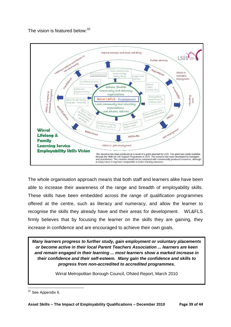The vision is featured below:<sup>32</sup>



The whole organisation approach means that both staff and learners alike have been able to increase their awareness of the range and breadth of employability skills. These skills have been embedded across the range of qualification programmes offered at the centre, such as literacy and numeracy, and allow the learner to recognise the skills they already have and their areas for development. WL&FLS firmly believes that by focusing the learner on the skills they are gaining, they increase in confidence and are encouraged to achieve their own goals.

*Many learners progress to further study, gain employment or voluntary placements or become active in their local Parent Teachers Association ... learners are keen and remain engaged in their learning ... most learners show a marked increase in their confidence and their self-esteem. Many gain the confidence and skills to progress from non-accredited to accredited programmes.*

Wirral Metropolitan Borough Council, Ofsted Report, March 2010

<sup>1</sup> <sup>32</sup> See Appendix 6.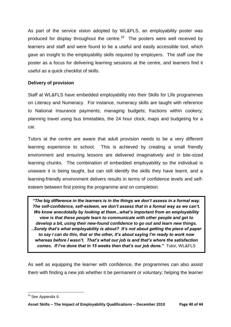As part of the service vision adopted by WL&FLS, an employability poster was produced for display throughout the centre.<sup>33</sup> The posters were well received by learners and staff and were found to be a useful and easily accessible tool, which gave an insight to the employability skills required by employers. The staff use the poster as a focus for delivering learning sessions at the centre, and learners find it useful as a quick checklist of skills.

## **Delivery of provision**

Staff at WL&FLS have embedded employability into their Skills for Life programmes on Literacy and Numeracy. For instance, numeracy skills are taught with reference to National Insurance payments; managing budgets; fractions within cookery; planning travel using bus timetables, the 24 hour clock, maps and budgeting for a car.

Tutors at the centre are aware that adult provision needs to be a very different learning experience to school. This is achieved by creating a small friendly environment and ensuring lessons are delivered imaginatively and in bite-sized learning chunks. The combination of embedded employability so the individual is unaware it is being taught, but can still identify the skills they have learnt, and a learning-friendly environment delivers results in terms of confidence levels and selfesteem between first joining the programme and on completion.

*"The big difference in the learners is in the things we don"t assess in a formal way. The self-confidence, self-esteem, we don"t assess that in a formal way as we can"t. We know anecdotally by looking at them...what"s important from an employability view is that these people learn to communicate with other people and get to develop a bit, using their new-found confidence to go out and learn new things. ..Surely that"s what employability is about? It"s not about getting the piece of paper to say I can do this, that or the other, it"s about saying I"m ready to work now whereas before I wasn"t. That"s what our job is and that"s where the satisfaction comes. If I"ve done that in 15 weeks then that"s our job done."* Tutor, WL&FLS

As well as equipping the learner with confidence, the programmes can also assist them with finding a new job whether it be permanent or voluntary; helping the learner

**<sup>.</sup>**  $33$  See Appendix 6.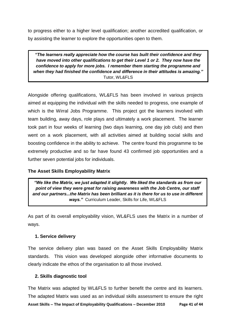to progress either to a higher level qualification; another accredited qualification, or by assisting the learner to explore the opportunities open to them.

*"The learners really appreciate how the course has built their confidence and they have moved into other qualifications to get their Level 1 or 2. They now have the confidence to apply for more jobs. I remember them starting the programme and when they had finished the confidence and difference in their attitudes is amazing."*  Tutor, WL&FLS

Alongside offering qualifications, WL&FLS has been involved in various projects aimed at equipping the individual with the skills needed to progress, one example of which is the Wirral Jobs Programme. This project got the learners involved with team building, away days, role plays and ultimately a work placement. The learner took part in four weeks of learning (two days learning, one day job club) and then went on a work placement, with all activities aimed at building social skills and boosting confidence in the ability to achieve. The centre found this programme to be extremely productive and so far have found 43 confirmed job opportunities and a further seven potential jobs for individuals.

## **The Asset Skills Employability Matrix**

*"We like the Matrix, we just adapted it slightly. We liked the standards as from our point of view they were great for raising awareness with the Job Centre, our staff and our partners...the Matrix has been brilliant as it is there for us to use in different ways."*Curriculum Leader, Skills for Life, WL&FLS

As part of its overall employability vision, WL&FLS uses the Matrix in a number of ways.

#### **1. Service delivery**

The service delivery plan was based on the Asset Skills Employability Matrix standards. This vision was developed alongside other informative documents to clearly indicate the ethos of the organisation to all those involved.

## **2. Skills diagnostic tool**

**Asset Skills – The Impact of Employability Qualifications – December 2010 Page 41 of 44** The Matrix was adapted by WL&FLS to further benefit the centre and its learners. The adapted Matrix was used as an individual skills assessment to ensure the right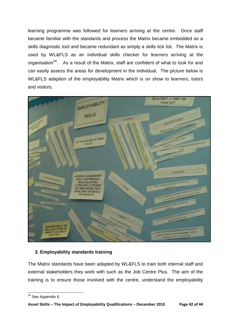learning programme was followed for learners arriving at the centre. Once staff became familiar with the standards and process the Matrix became embedded as a skills diagnostic tool and became redundant as simply a skills tick list. The Matrix is used by WL&FLS as an individual skills checker for learners arriving at the organisation<sup>34</sup>. As a result of the Matrix, staff are confident of what to look for and can easily assess the areas for development in the individual. The picture below is WL&FLS adaption of the employability Matrix which is on show to learners, tutors and visitors.



## **3. Employability standards training**

The Matrix standards have been adapted by WL&FLS to train both internal staff and external stakeholders they work with such as the Job Centre Plus. The aim of the training is to ensure those involved with the centre, understand the employability

**<sup>.</sup>** <sup>34</sup> See Appendix 6.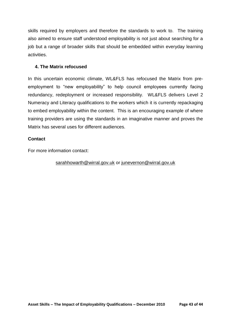skills required by employers and therefore the standards to work to. The training also aimed to ensure staff understood employability is not just about searching for a job but a range of broader skills that should be embedded within everyday learning activities.

## **4. The Matrix refocused**

In this uncertain economic climate, WL&FLS has refocused the Matrix from preemployment to "new employability" to help council employees currently facing redundancy, redeployment or increased responsibility. WL&FLS delivers Level 2 Numeracy and Literacy qualifications to the workers which it is currently repackaging to embed employability within the content. This is an encouraging example of where training providers are using the standards in an imaginative manner and proves the Matrix has several uses for different audiences.

## **Contact**

For more information contact:

## [sarahhowarth@wirral.gov.uk](mailto:sarahhowarth@wirral.gov.uk) or [junevernon@wirral.gov.uk](mailto:junevernon@wirral.gov.uk)